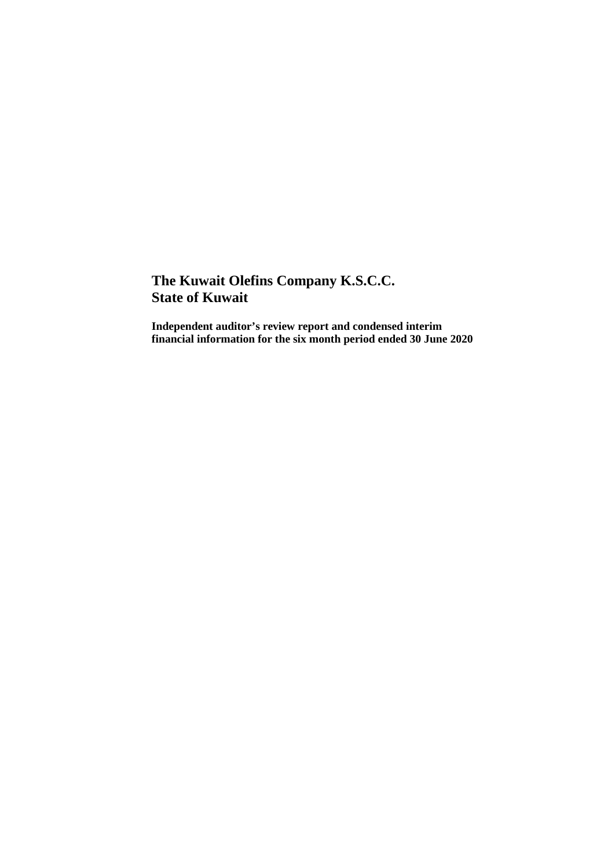**Independent auditor's review report and condensed interim financial information for the six month period ended 30 June 2020**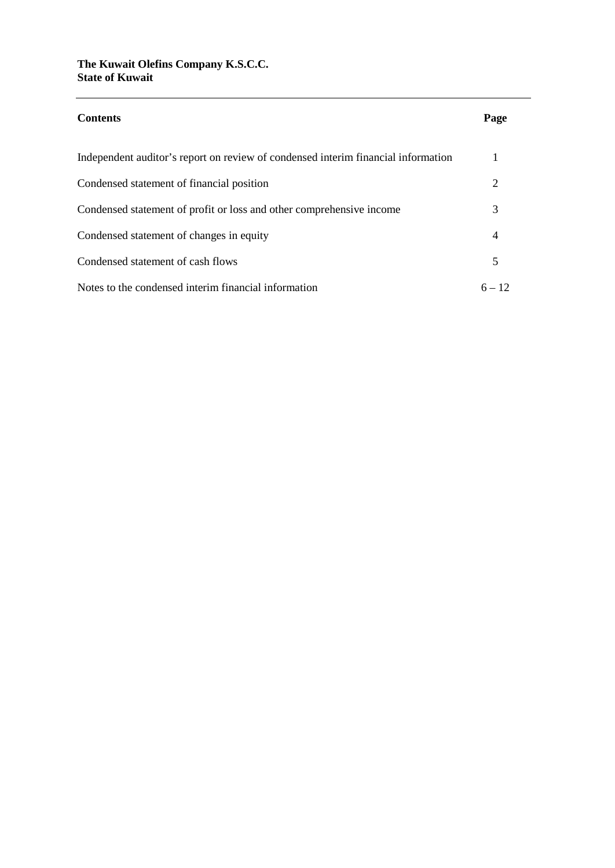| <b>Contents</b>                                                                   | Page                        |
|-----------------------------------------------------------------------------------|-----------------------------|
| Independent auditor's report on review of condensed interim financial information |                             |
| Condensed statement of financial position                                         | $\mathcal{D}_{\mathcal{L}}$ |
| Condensed statement of profit or loss and other comprehensive income              | 3                           |
| Condensed statement of changes in equity                                          | 4                           |
| Condensed statement of cash flows                                                 | 5                           |
| Notes to the condensed interim financial information                              | $6 - 12$                    |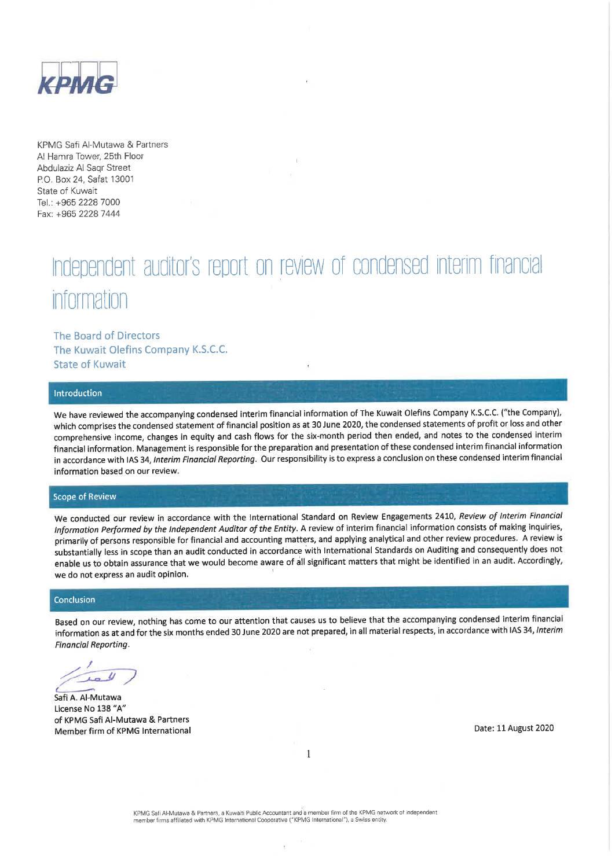

KPMG Safi Al-Mutawa & Partners Al Hamra Tower, 25th Floor Abdulaziz Al Sagr Street P.O. Box 24, Safat 13001 State of Kuwait Tel.: +965 2228 7000 Fax: +965 2228 7444

# Independent auditor's report on review of condensed interim financial information

The Board of Directors The Kuwait Olefins Company K.S.C.C. **State of Kuwait** 

#### Introduction

We have reviewed the accompanying condensed interim financial information of The Kuwait Olefins Company K.S.C.C. ("the Company), which comprises the condensed statement of financial position as at 30 June 2020, the condensed statements of profit or loss and other comprehensive income, changes in equity and cash flows for the six-month period then ended, and notes to the condensed interim financial information. Management is responsible for the preparation and presentation of these condensed interim financial information in accordance with IAS 34, Interim Financial Reporting. Our responsibility is to express a conclusion on these condensed interim financial information based on our review.

#### **Scope of Review**

We conducted our review in accordance with the International Standard on Review Engagements 2410, Review of Interim Financial Information Performed by the Independent Auditor of the Entity. A review of interim financial information consists of making inquiries, primarily of persons responsible for financial and accounting matters, and applying analytical and other review procedures. A review is substantially less in scope than an audit conducted in accordance with International Standards on Auditing and consequently does not enable us to obtain assurance that we would become aware of all significant matters that might be identified in an audit. Accordingly, we do not express an audit opinion.

#### Conclusion

Based on our review, nothing has come to our attention that causes us to believe that the accompanying condensed interim financial information as at and for the six months ended 30 June 2020 are not prepared, in all material respects, in accordance with IAS 34, Interim **Financial Reporting.** 

 $\mathbf{1}$ 

Safi A. Al-Mutawa License No 138 "A" of KPMG Safi Al-Mutawa & Partners Member firm of KPMG International

Date: 11 August 2020

h.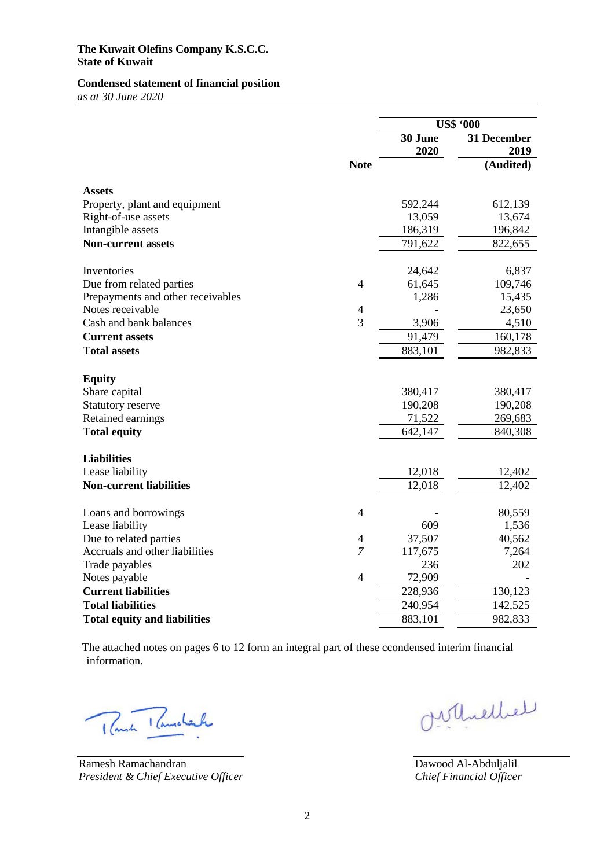### **Condensed statement of financial position**

*as at 30 June 2020*

|                                     |                |         | <b>US\$ '000</b> |
|-------------------------------------|----------------|---------|------------------|
|                                     |                | 30 June | 31 December      |
|                                     |                | 2020    | 2019             |
|                                     | <b>Note</b>    |         | (Audited)        |
| <b>Assets</b>                       |                |         |                  |
| Property, plant and equipment       |                | 592,244 | 612,139          |
| Right-of-use assets                 |                | 13,059  | 13,674           |
| Intangible assets                   |                | 186,319 | 196,842          |
| <b>Non-current assets</b>           |                | 791,622 | 822,655          |
| Inventories                         |                | 24,642  | 6,837            |
| Due from related parties            | 4              | 61,645  | 109,746          |
| Prepayments and other receivables   |                | 1,286   | 15,435           |
| Notes receivable                    | $\overline{4}$ |         | 23,650           |
| Cash and bank balances              | 3              | 3,906   | 4,510            |
| <b>Current assets</b>               |                | 91,479  | 160,178          |
| <b>Total assets</b>                 |                | 883,101 | 982,833          |
| <b>Equity</b>                       |                |         |                  |
| Share capital                       |                | 380,417 | 380,417          |
| Statutory reserve                   |                | 190,208 | 190,208          |
| Retained earnings                   |                | 71,522  | 269,683          |
| <b>Total equity</b>                 |                | 642,147 | 840,308          |
|                                     |                |         |                  |
| <b>Liabilities</b>                  |                |         |                  |
| Lease liability                     |                | 12,018  | 12,402           |
| <b>Non-current liabilities</b>      |                | 12,018  | 12,402           |
| Loans and borrowings                | 4              |         | 80,559           |
| Lease liability                     |                | 609     | 1,536            |
| Due to related parties              | $\overline{4}$ | 37,507  | 40,562           |
| Accruals and other liabilities      | $\overline{7}$ | 117,675 | 7,264            |
| Trade payables                      |                | 236     | 202              |
| Notes payable                       | $\overline{4}$ | 72,909  |                  |
| <b>Current liabilities</b>          |                | 228,936 | 130,123          |
| <b>Total liabilities</b>            |                | 240,954 | 142,525          |
| <b>Total equity and liabilities</b> |                | 883,101 | 982,833          |

The attached notes on pages 6 to 12 form an integral part of these ccondensed interim financial information.

Rush Rumcharle

Ramesh Ramachandran *President & Chief Executive Officer*

Orthellel

Dawood Al-Abduljalil *Chief Financial Officer*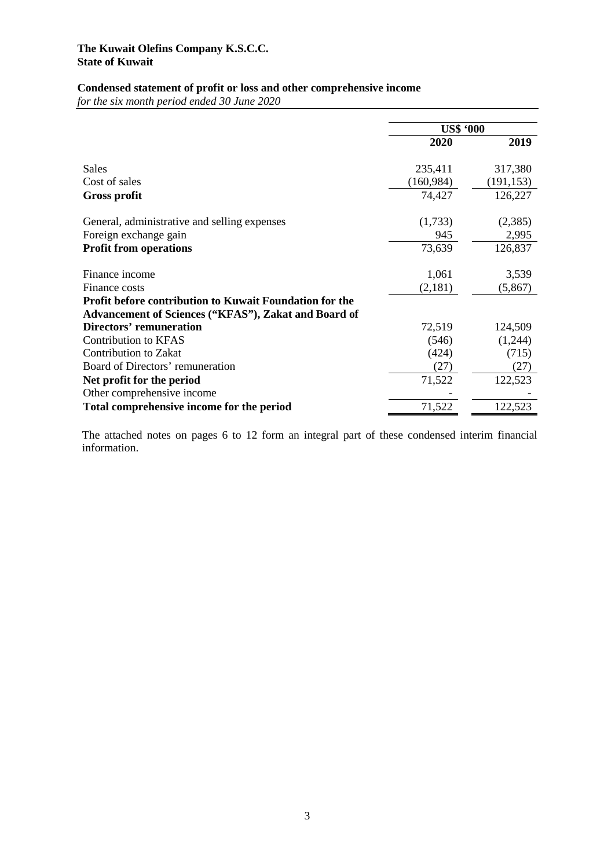# **Condensed statement of profit or loss and other comprehensive income**

*for the six month period ended 30 June 2020*

|                                                                                                                 | <b>US\$ '000</b> |            |
|-----------------------------------------------------------------------------------------------------------------|------------------|------------|
|                                                                                                                 | 2020             | 2019       |
| Sales                                                                                                           | 235,411          | 317,380    |
| Cost of sales                                                                                                   | (160, 984)       | (191, 153) |
| <b>Gross profit</b>                                                                                             | 74,427           | 126,227    |
| General, administrative and selling expenses                                                                    | (1,733)          | (2,385)    |
| Foreign exchange gain                                                                                           | 945              | 2,995      |
| <b>Profit from operations</b>                                                                                   | 73,639           | 126,837    |
| Finance income                                                                                                  | 1,061            | 3,539      |
| Finance costs                                                                                                   | (2,181)          | (5,867)    |
| Profit before contribution to Kuwait Foundation for the<br>Advancement of Sciences ("KFAS"), Zakat and Board of |                  |            |
| <b>Directors' remuneration</b>                                                                                  | 72,519           | 124,509    |
| <b>Contribution to KFAS</b>                                                                                     | (546)            | (1,244)    |
| <b>Contribution to Zakat</b>                                                                                    | (424)            | (715)      |
| Board of Directors' remuneration                                                                                | (27)             | (27)       |
| Net profit for the period                                                                                       | 71,522           | 122,523    |
| Other comprehensive income                                                                                      |                  |            |
| Total comprehensive income for the period                                                                       | 71,522           | 122,523    |

The attached notes on pages 6 to 12 form an integral part of these condensed interim financial information.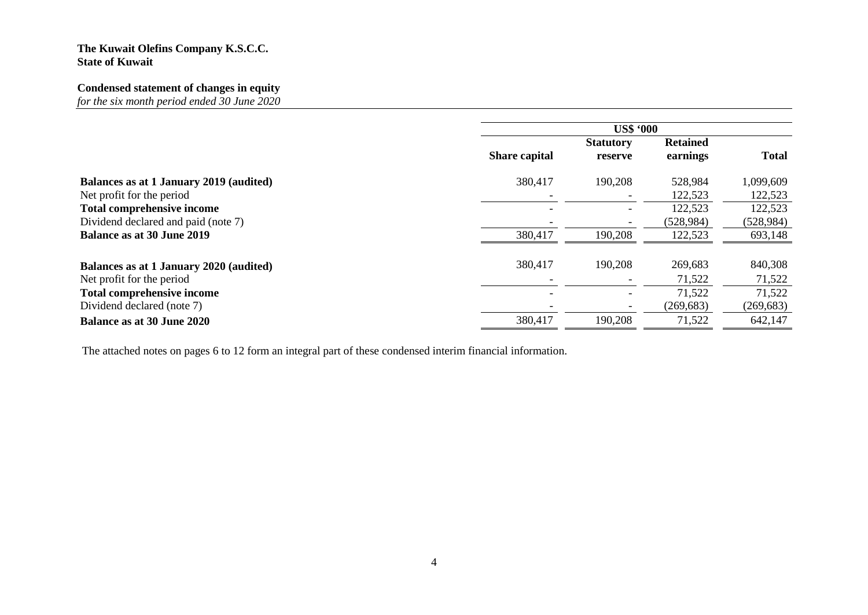# **Condensed statement of changes in equity**

*for the six month period ended 30 June 2020*

|                                         |                      | <b>US\$ '000</b> |                 |              |
|-----------------------------------------|----------------------|------------------|-----------------|--------------|
|                                         |                      | <b>Statutory</b> | <b>Retained</b> |              |
|                                         | <b>Share capital</b> | reserve          | earnings        | <b>Total</b> |
| Balances as at 1 January 2019 (audited) | 380,417              | 190,208          | 528,984         | 1,099,609    |
| Net profit for the period               |                      |                  | 122,523         | 122,523      |
| <b>Total comprehensive income</b>       |                      |                  | 122,523         | 122,523      |
| Dividend declared and paid (note 7)     |                      |                  | (528, 984)      | (528, 984)   |
| <b>Balance as at 30 June 2019</b>       | 380,417              | 190,208          | 122,523         | 693,148      |
| Balances as at 1 January 2020 (audited) | 380,417              | 190,208          | 269,683         | 840,308      |
| Net profit for the period               |                      |                  | 71,522          | 71,522       |
| <b>Total comprehensive income</b>       |                      |                  | 71,522          | 71,522       |
| Dividend declared (note 7)              |                      |                  | (269, 683)      | (269, 683)   |
| <b>Balance as at 30 June 2020</b>       | 380,417              | 190,208          | 71,522          | 642,147      |

The attached notes on pages 6 to 12 form an integral part of these condensed interim financial information.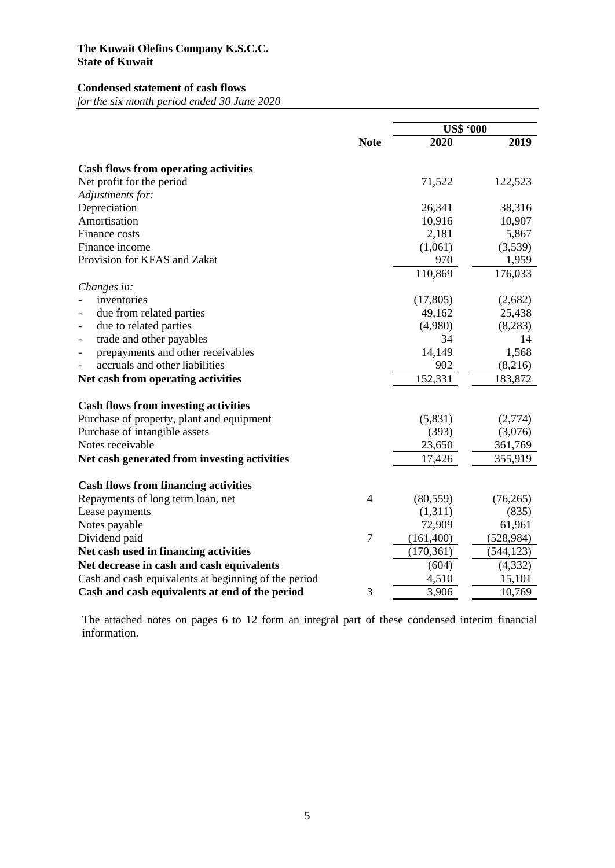### **Condensed statement of cash flows**

*for the six month period ended 30 June 2020*

|                                                      |                | <b>US\$ '000</b> |            |
|------------------------------------------------------|----------------|------------------|------------|
|                                                      | <b>Note</b>    | 2020             | 2019       |
| <b>Cash flows from operating activities</b>          |                |                  |            |
| Net profit for the period                            |                | 71,522           | 122,523    |
| Adjustments for:                                     |                |                  |            |
| Depreciation                                         |                | 26,341           | 38,316     |
| Amortisation                                         |                | 10,916           | 10,907     |
| Finance costs                                        |                | 2,181            | 5,867      |
| Finance income                                       |                | (1,061)          | (3,539)    |
| Provision for KFAS and Zakat                         |                | 970              | 1,959      |
|                                                      |                | 110,869          | 176,033    |
| Changes in:                                          |                |                  |            |
| inventories                                          |                | (17, 805)        | (2,682)    |
| due from related parties                             |                | 49,162           | 25,438     |
| due to related parties<br>$\overline{\phantom{0}}$   |                | (4,980)          | (8,283)    |
| trade and other payables<br>$\overline{\phantom{0}}$ |                | 34               | 14         |
| prepayments and other receivables<br>$\overline{a}$  |                | 14,149           | 1,568      |
| accruals and other liabilities                       |                | 902              | (8,216)    |
| Net cash from operating activities                   |                | 152,331          | 183,872    |
| <b>Cash flows from investing activities</b>          |                |                  |            |
| Purchase of property, plant and equipment            |                | (5,831)          | (2,774)    |
| Purchase of intangible assets                        |                | (393)            | (3,076)    |
| Notes receivable                                     |                | 23,650           | 361,769    |
| Net cash generated from investing activities         |                | 17,426           | 355,919    |
|                                                      |                |                  |            |
| <b>Cash flows from financing activities</b>          |                |                  |            |
| Repayments of long term loan, net                    | $\overline{4}$ | (80, 559)        | (76, 265)  |
| Lease payments                                       |                | (1,311)          | (835)      |
| Notes payable                                        |                | 72,909           | 61,961     |
| Dividend paid                                        | $\tau$         | (161, 400)       | (528, 984) |
| Net cash used in financing activities                |                | (170, 361)       | (544, 123) |
| Net decrease in cash and cash equivalents            |                | (604)            | (4, 332)   |
| Cash and cash equivalents at beginning of the period |                | 4,510            | 15,101     |
| Cash and cash equivalents at end of the period       | 3              | 3,906            | 10,769     |

The attached notes on pages 6 to 12 form an integral part of these condensed interim financial information.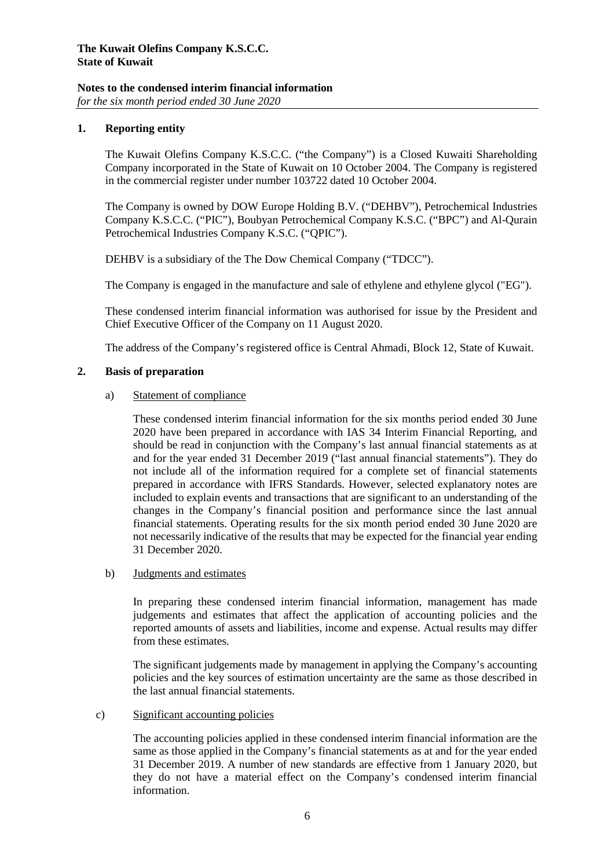## **Notes to the condensed interim financial information**

*for the six month period ended 30 June 2020*

### **1. Reporting entity**

The Kuwait Olefins Company K.S.C.C. ("the Company") is a Closed Kuwaiti Shareholding Company incorporated in the State of Kuwait on 10 October 2004. The Company is registered in the commercial register under number 103722 dated 10 October 2004.

The Company is owned by DOW Europe Holding B.V. ("DEHBV"), Petrochemical Industries Company K.S.C.C. ("PIC"), Boubyan Petrochemical Company K.S.C. ("BPC") and Al-Qurain Petrochemical Industries Company K.S.C. ("QPIC").

DEHBV is a subsidiary of the The Dow Chemical Company ("TDCC").

The Company is engaged in the manufacture and sale of ethylene and ethylene glycol ("EG").

These condensed interim financial information was authorised for issue by the President and Chief Executive Officer of the Company on 11 August 2020.

The address of the Company's registered office is Central Ahmadi, Block 12, State of Kuwait.

### **2. Basis of preparation**

### a) Statement of compliance

These condensed interim financial information for the six months period ended 30 June 2020 have been prepared in accordance with IAS 34 Interim Financial Reporting, and should be read in conjunction with the Company's last annual financial statements as at and for the year ended 31 December 2019 ("last annual financial statements"). They do not include all of the information required for a complete set of financial statements prepared in accordance with IFRS Standards. However, selected explanatory notes are included to explain events and transactions that are significant to an understanding of the changes in the Company's financial position and performance since the last annual financial statements. Operating results for the six month period ended 30 June 2020 are not necessarily indicative of the results that may be expected for the financial year ending 31 December 2020.

### b) Judgments and estimates

In preparing these condensed interim financial information, management has made judgements and estimates that affect the application of accounting policies and the reported amounts of assets and liabilities, income and expense. Actual results may differ from these estimates.

The significant judgements made by management in applying the Company's accounting policies and the key sources of estimation uncertainty are the same as those described in the last annual financial statements.

### c) Significant accounting policies

The accounting policies applied in these condensed interim financial information are the same as those applied in the Company's financial statements as at and for the year ended 31 December 2019. A number of new standards are effective from 1 January 2020, but they do not have a material effect on the Company's condensed interim financial information.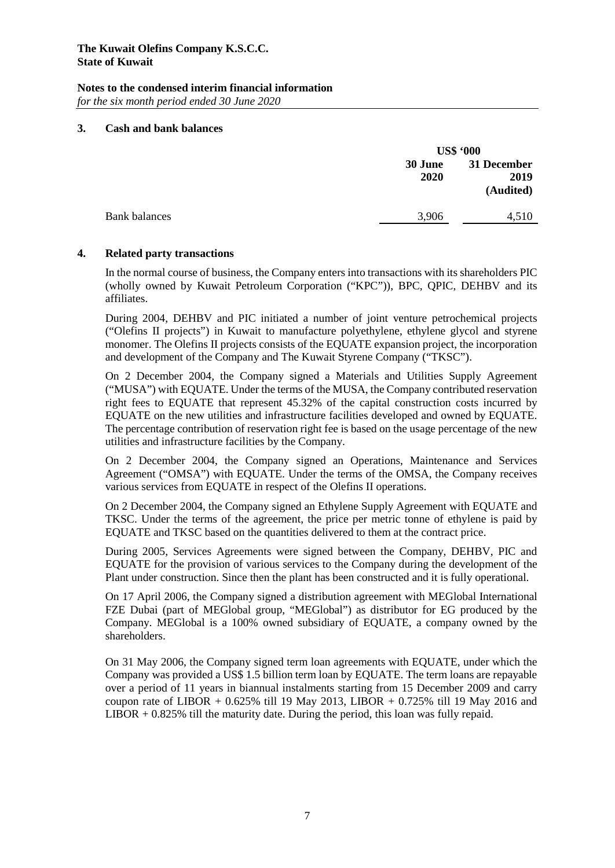# **Notes to the condensed interim financial information**

*for the six month period ended 30 June 2020*

### **3. Cash and bank balances**

|                 | <b>US\$ '000</b>                 |  |
|-----------------|----------------------------------|--|
| 30 June<br>2020 | 31 December<br>2019<br>(Audited) |  |
| 3,906           | 4,510                            |  |
|                 |                                  |  |

### **4. Related party transactions**

In the normal course of business, the Company enters into transactions with its shareholders PIC (wholly owned by Kuwait Petroleum Corporation ("KPC")), BPC, QPIC, DEHBV and its affiliates.

During 2004, DEHBV and PIC initiated a number of joint venture petrochemical projects ("Olefins II projects") in Kuwait to manufacture polyethylene, ethylene glycol and styrene monomer. The Olefins II projects consists of the EQUATE expansion project, the incorporation and development of the Company and The Kuwait Styrene Company ("TKSC").

On 2 December 2004, the Company signed a Materials and Utilities Supply Agreement ("MUSA") with EQUATE. Under the terms of the MUSA, the Company contributed reservation right fees to EQUATE that represent 45.32% of the capital construction costs incurred by EQUATE on the new utilities and infrastructure facilities developed and owned by EQUATE. The percentage contribution of reservation right fee is based on the usage percentage of the new utilities and infrastructure facilities by the Company.

On 2 December 2004, the Company signed an Operations, Maintenance and Services Agreement ("OMSA") with EQUATE. Under the terms of the OMSA, the Company receives various services from EQUATE in respect of the Olefins II operations.

On 2 December 2004, the Company signed an Ethylene Supply Agreement with EQUATE and TKSC. Under the terms of the agreement, the price per metric tonne of ethylene is paid by EQUATE and TKSC based on the quantities delivered to them at the contract price.

During 2005, Services Agreements were signed between the Company, DEHBV, PIC and EQUATE for the provision of various services to the Company during the development of the Plant under construction. Since then the plant has been constructed and it is fully operational.

On 17 April 2006, the Company signed a distribution agreement with MEGlobal International FZE Dubai (part of MEGlobal group, "MEGlobal") as distributor for EG produced by the Company. MEGlobal is a 100% owned subsidiary of EQUATE, a company owned by the shareholders.

On 31 May 2006, the Company signed term loan agreements with EQUATE, under which the Company was provided a US\$ 1.5 billion term loan by EQUATE. The term loans are repayable over a period of 11 years in biannual instalments starting from 15 December 2009 and carry coupon rate of LIBOR + 0.625% till 19 May 2013, LIBOR + 0.725% till 19 May 2016 and  $LIBOR + 0.825\%$  till the maturity date. During the period, this loan was fully repaid.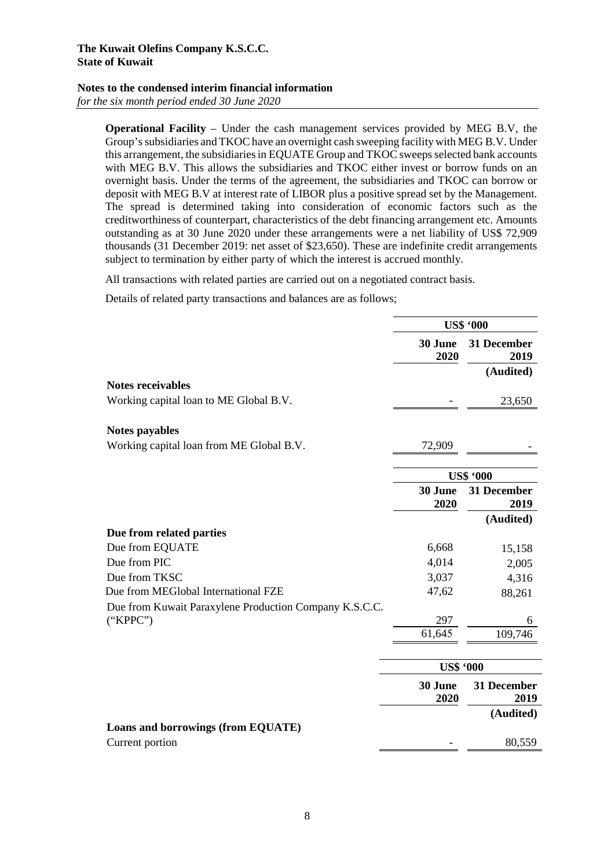### **Notes to the condensed interim financial information**

*for the six month period ended 30 June 2020* 

**Operational Facility** – Under the cash management services provided by MEG B.V, the Group's subsidiaries and TKOC have an overnight cash sweeping facility with MEG B.V. Under this arrangement, the subsidiaries in EQUATE Group and TKOC sweeps selected bank accounts with MEG B.V. This allows the subsidiaries and TKOC either invest or borrow funds on an overnight basis. Under the terms of the agreement, the subsidiaries and TKOC can borrow or deposit with MEG B.V at interest rate of LIBOR plus a positive spread set by the Management. The spread is determined taking into consideration of economic factors such as the creditworthiness of counterpart, characteristics of the debt financing arrangement etc. Amounts outstanding as at 30 June 2020 under these arrangements were a net liability of US\$ 72,909 thousands (31 December 2019: net asset of \$23,650). These are indefinite credit arrangements subject to termination by either party of which the interest is accrued monthly.

All transactions with related parties are carried out on a negotiated contract basis.

Details of related party transactions and balances are as follows;

|                                                        | <b>US\$ '000</b> |                     |
|--------------------------------------------------------|------------------|---------------------|
|                                                        | 30 June<br>2020  | 31 December<br>2019 |
|                                                        |                  | (Audited)           |
| <b>Notes receivables</b>                               |                  |                     |
| Working capital loan to ME Global B.V.                 |                  | 23,650              |
| <b>Notes payables</b>                                  |                  |                     |
| Working capital loan from ME Global B.V.               | 72,909           |                     |
|                                                        |                  |                     |
|                                                        |                  | <b>US\$ '000</b>    |
|                                                        | 30 June<br>2020  | 31 December<br>2019 |
|                                                        |                  | (Audited)           |
| Due from related parties                               |                  |                     |
| Due from EQUATE                                        | 6,668            | 15,158              |
| Due from PIC                                           | 4,014            | 2,005               |
| Due from TKSC                                          | 3,037            | 4,316               |
| Due from MEGlobal International FZE                    | 47,62            | 88,261              |
| Due from Kuwait Paraxylene Production Company K.S.C.C. |                  |                     |
| ("KPPC")                                               | 297              | 6                   |
|                                                        | 61,645           | 109,746             |
|                                                        | <b>US\$ '000</b> |                     |
|                                                        | 30 June<br>2020  | 31 December<br>2019 |
|                                                        |                  | (Audited)           |
| Loans and borrowings (from EQUATE)                     |                  |                     |
| Current portion                                        |                  | 80,559              |
|                                                        |                  |                     |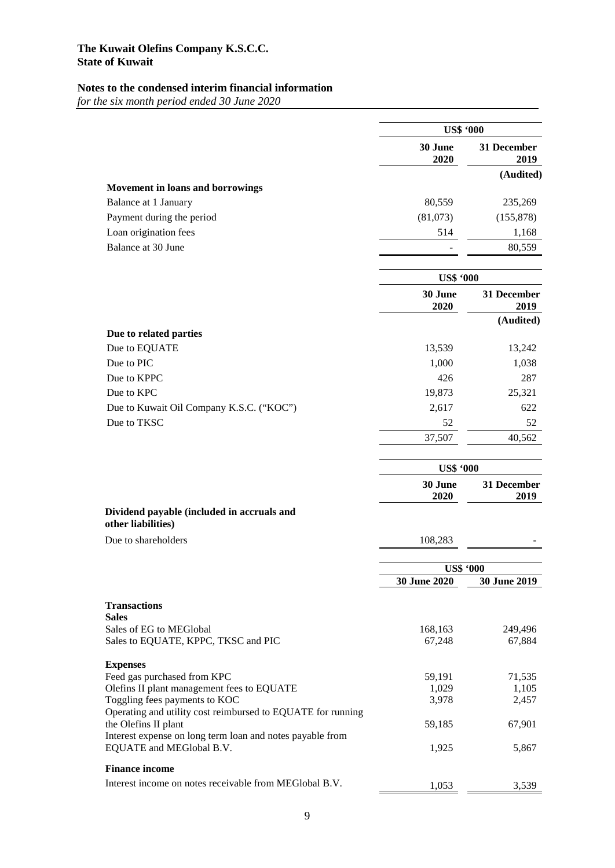# **Notes to the condensed interim financial information**

*for the six month period ended 30 June 2020*

| 30 June<br>31 December<br>2020<br>2019<br>Movement in loans and borrowings<br>Balance at 1 January<br>80,559<br>235,269<br>Payment during the period<br>(81,073)<br>(155, 878)<br>Loan origination fees<br>514<br>1,168<br>Balance at 30 June<br>80,559<br><b>US\$ '000</b><br>30 June<br>31 December<br>2020<br>2019<br>(Audited)<br>Due to related parties<br>Due to EQUATE<br>13,539<br>13,242<br>Due to PIC<br>1,000<br>1,038<br>Due to KPPC<br>426<br>287<br>Due to KPC<br>19,873<br>25,321<br>Due to Kuwait Oil Company K.S.C. ("KOC")<br>2,617<br>622<br>Due to TKSC<br>52<br>52<br>37,507<br>40,562<br><b>US\$ '000</b><br>30 June<br>31 December<br>2020<br>2019<br>Dividend payable (included in accruals and<br>other liabilities)<br>Due to shareholders<br>108,283<br><b>US\$ '000</b><br>30 June 2020<br>30 June 2019<br><b>Transactions</b><br><b>Sales</b><br>Sales of EG to MEGlobal<br>168,163<br>249,496<br>Sales to EQUATE, KPPC, TKSC and PIC<br>67,248<br>67,884<br><b>Expenses</b><br>Feed gas purchased from KPC<br>71,535<br>59,191<br>Olefins II plant management fees to EQUATE<br>1,029<br>1,105<br>Toggling fees payments to KOC<br>3,978<br>2,457<br>Operating and utility cost reimbursed to EQUATE for running<br>the Olefins II plant<br>67,901<br>59,185<br>Interest expense on long term loan and notes payable from<br>EQUATE and MEGlobal B.V.<br>1,925<br>5,867<br><b>Finance income</b><br>Interest income on notes receivable from MEGlobal B.V.<br>1,053<br>3,539 | <b>US\$ '000</b> |  |
|------------------------------------------------------------------------------------------------------------------------------------------------------------------------------------------------------------------------------------------------------------------------------------------------------------------------------------------------------------------------------------------------------------------------------------------------------------------------------------------------------------------------------------------------------------------------------------------------------------------------------------------------------------------------------------------------------------------------------------------------------------------------------------------------------------------------------------------------------------------------------------------------------------------------------------------------------------------------------------------------------------------------------------------------------------------------------------------------------------------------------------------------------------------------------------------------------------------------------------------------------------------------------------------------------------------------------------------------------------------------------------------------------------------------------------------------------------------------------------------------------------|------------------|--|
| (Audited)                                                                                                                                                                                                                                                                                                                                                                                                                                                                                                                                                                                                                                                                                                                                                                                                                                                                                                                                                                                                                                                                                                                                                                                                                                                                                                                                                                                                                                                                                                  |                  |  |
|                                                                                                                                                                                                                                                                                                                                                                                                                                                                                                                                                                                                                                                                                                                                                                                                                                                                                                                                                                                                                                                                                                                                                                                                                                                                                                                                                                                                                                                                                                            |                  |  |
|                                                                                                                                                                                                                                                                                                                                                                                                                                                                                                                                                                                                                                                                                                                                                                                                                                                                                                                                                                                                                                                                                                                                                                                                                                                                                                                                                                                                                                                                                                            |                  |  |
|                                                                                                                                                                                                                                                                                                                                                                                                                                                                                                                                                                                                                                                                                                                                                                                                                                                                                                                                                                                                                                                                                                                                                                                                                                                                                                                                                                                                                                                                                                            |                  |  |
|                                                                                                                                                                                                                                                                                                                                                                                                                                                                                                                                                                                                                                                                                                                                                                                                                                                                                                                                                                                                                                                                                                                                                                                                                                                                                                                                                                                                                                                                                                            |                  |  |
|                                                                                                                                                                                                                                                                                                                                                                                                                                                                                                                                                                                                                                                                                                                                                                                                                                                                                                                                                                                                                                                                                                                                                                                                                                                                                                                                                                                                                                                                                                            |                  |  |
|                                                                                                                                                                                                                                                                                                                                                                                                                                                                                                                                                                                                                                                                                                                                                                                                                                                                                                                                                                                                                                                                                                                                                                                                                                                                                                                                                                                                                                                                                                            |                  |  |
|                                                                                                                                                                                                                                                                                                                                                                                                                                                                                                                                                                                                                                                                                                                                                                                                                                                                                                                                                                                                                                                                                                                                                                                                                                                                                                                                                                                                                                                                                                            |                  |  |
|                                                                                                                                                                                                                                                                                                                                                                                                                                                                                                                                                                                                                                                                                                                                                                                                                                                                                                                                                                                                                                                                                                                                                                                                                                                                                                                                                                                                                                                                                                            |                  |  |
|                                                                                                                                                                                                                                                                                                                                                                                                                                                                                                                                                                                                                                                                                                                                                                                                                                                                                                                                                                                                                                                                                                                                                                                                                                                                                                                                                                                                                                                                                                            |                  |  |
|                                                                                                                                                                                                                                                                                                                                                                                                                                                                                                                                                                                                                                                                                                                                                                                                                                                                                                                                                                                                                                                                                                                                                                                                                                                                                                                                                                                                                                                                                                            |                  |  |
|                                                                                                                                                                                                                                                                                                                                                                                                                                                                                                                                                                                                                                                                                                                                                                                                                                                                                                                                                                                                                                                                                                                                                                                                                                                                                                                                                                                                                                                                                                            |                  |  |
|                                                                                                                                                                                                                                                                                                                                                                                                                                                                                                                                                                                                                                                                                                                                                                                                                                                                                                                                                                                                                                                                                                                                                                                                                                                                                                                                                                                                                                                                                                            |                  |  |
|                                                                                                                                                                                                                                                                                                                                                                                                                                                                                                                                                                                                                                                                                                                                                                                                                                                                                                                                                                                                                                                                                                                                                                                                                                                                                                                                                                                                                                                                                                            |                  |  |
|                                                                                                                                                                                                                                                                                                                                                                                                                                                                                                                                                                                                                                                                                                                                                                                                                                                                                                                                                                                                                                                                                                                                                                                                                                                                                                                                                                                                                                                                                                            |                  |  |
|                                                                                                                                                                                                                                                                                                                                                                                                                                                                                                                                                                                                                                                                                                                                                                                                                                                                                                                                                                                                                                                                                                                                                                                                                                                                                                                                                                                                                                                                                                            |                  |  |
|                                                                                                                                                                                                                                                                                                                                                                                                                                                                                                                                                                                                                                                                                                                                                                                                                                                                                                                                                                                                                                                                                                                                                                                                                                                                                                                                                                                                                                                                                                            |                  |  |
|                                                                                                                                                                                                                                                                                                                                                                                                                                                                                                                                                                                                                                                                                                                                                                                                                                                                                                                                                                                                                                                                                                                                                                                                                                                                                                                                                                                                                                                                                                            |                  |  |
|                                                                                                                                                                                                                                                                                                                                                                                                                                                                                                                                                                                                                                                                                                                                                                                                                                                                                                                                                                                                                                                                                                                                                                                                                                                                                                                                                                                                                                                                                                            |                  |  |
|                                                                                                                                                                                                                                                                                                                                                                                                                                                                                                                                                                                                                                                                                                                                                                                                                                                                                                                                                                                                                                                                                                                                                                                                                                                                                                                                                                                                                                                                                                            |                  |  |
|                                                                                                                                                                                                                                                                                                                                                                                                                                                                                                                                                                                                                                                                                                                                                                                                                                                                                                                                                                                                                                                                                                                                                                                                                                                                                                                                                                                                                                                                                                            |                  |  |
|                                                                                                                                                                                                                                                                                                                                                                                                                                                                                                                                                                                                                                                                                                                                                                                                                                                                                                                                                                                                                                                                                                                                                                                                                                                                                                                                                                                                                                                                                                            |                  |  |
|                                                                                                                                                                                                                                                                                                                                                                                                                                                                                                                                                                                                                                                                                                                                                                                                                                                                                                                                                                                                                                                                                                                                                                                                                                                                                                                                                                                                                                                                                                            |                  |  |
|                                                                                                                                                                                                                                                                                                                                                                                                                                                                                                                                                                                                                                                                                                                                                                                                                                                                                                                                                                                                                                                                                                                                                                                                                                                                                                                                                                                                                                                                                                            |                  |  |
|                                                                                                                                                                                                                                                                                                                                                                                                                                                                                                                                                                                                                                                                                                                                                                                                                                                                                                                                                                                                                                                                                                                                                                                                                                                                                                                                                                                                                                                                                                            |                  |  |
|                                                                                                                                                                                                                                                                                                                                                                                                                                                                                                                                                                                                                                                                                                                                                                                                                                                                                                                                                                                                                                                                                                                                                                                                                                                                                                                                                                                                                                                                                                            |                  |  |
|                                                                                                                                                                                                                                                                                                                                                                                                                                                                                                                                                                                                                                                                                                                                                                                                                                                                                                                                                                                                                                                                                                                                                                                                                                                                                                                                                                                                                                                                                                            |                  |  |
|                                                                                                                                                                                                                                                                                                                                                                                                                                                                                                                                                                                                                                                                                                                                                                                                                                                                                                                                                                                                                                                                                                                                                                                                                                                                                                                                                                                                                                                                                                            |                  |  |
|                                                                                                                                                                                                                                                                                                                                                                                                                                                                                                                                                                                                                                                                                                                                                                                                                                                                                                                                                                                                                                                                                                                                                                                                                                                                                                                                                                                                                                                                                                            |                  |  |
|                                                                                                                                                                                                                                                                                                                                                                                                                                                                                                                                                                                                                                                                                                                                                                                                                                                                                                                                                                                                                                                                                                                                                                                                                                                                                                                                                                                                                                                                                                            |                  |  |
|                                                                                                                                                                                                                                                                                                                                                                                                                                                                                                                                                                                                                                                                                                                                                                                                                                                                                                                                                                                                                                                                                                                                                                                                                                                                                                                                                                                                                                                                                                            |                  |  |
|                                                                                                                                                                                                                                                                                                                                                                                                                                                                                                                                                                                                                                                                                                                                                                                                                                                                                                                                                                                                                                                                                                                                                                                                                                                                                                                                                                                                                                                                                                            |                  |  |
|                                                                                                                                                                                                                                                                                                                                                                                                                                                                                                                                                                                                                                                                                                                                                                                                                                                                                                                                                                                                                                                                                                                                                                                                                                                                                                                                                                                                                                                                                                            |                  |  |
|                                                                                                                                                                                                                                                                                                                                                                                                                                                                                                                                                                                                                                                                                                                                                                                                                                                                                                                                                                                                                                                                                                                                                                                                                                                                                                                                                                                                                                                                                                            |                  |  |
|                                                                                                                                                                                                                                                                                                                                                                                                                                                                                                                                                                                                                                                                                                                                                                                                                                                                                                                                                                                                                                                                                                                                                                                                                                                                                                                                                                                                                                                                                                            |                  |  |
|                                                                                                                                                                                                                                                                                                                                                                                                                                                                                                                                                                                                                                                                                                                                                                                                                                                                                                                                                                                                                                                                                                                                                                                                                                                                                                                                                                                                                                                                                                            |                  |  |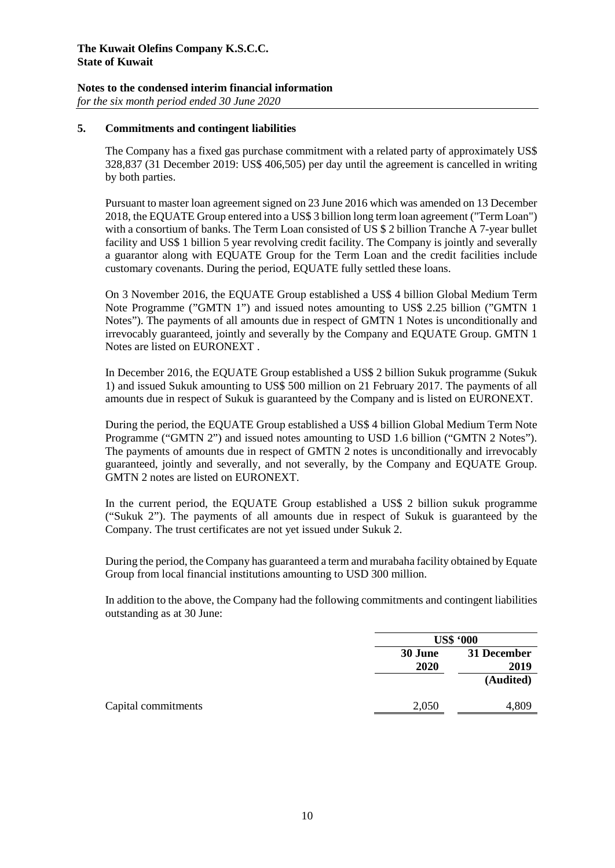## **Notes to the condensed interim financial information**

*for the six month period ended 30 June 2020*

### **5. Commitments and contingent liabilities**

The Company has a fixed gas purchase commitment with a related party of approximately US\$ 328,837 (31 December 2019: US\$ 406,505) per day until the agreement is cancelled in writing by both parties.

Pursuant to master loan agreement signed on 23 June 2016 which was amended on 13 December 2018, the EQUATE Group entered into a US\$ 3 billion long term loan agreement ("Term Loan") with a consortium of banks. The Term Loan consisted of US \$ 2 billion Tranche A 7-year bullet facility and US\$ 1 billion 5 year revolving credit facility. The Company is jointly and severally a guarantor along with EQUATE Group for the Term Loan and the credit facilities include customary covenants. During the period, EQUATE fully settled these loans.

On 3 November 2016, the EQUATE Group established a US\$ 4 billion Global Medium Term Note Programme ("GMTN 1") and issued notes amounting to US\$ 2.25 billion ("GMTN 1 Notes"). The payments of all amounts due in respect of GMTN 1 Notes is unconditionally and irrevocably guaranteed, jointly and severally by the Company and EQUATE Group. GMTN 1 Notes are listed on EURONEXT .

In December 2016, the EQUATE Group established a US\$ 2 billion Sukuk programme (Sukuk 1) and issued Sukuk amounting to US\$ 500 million on 21 February 2017. The payments of all amounts due in respect of Sukuk is guaranteed by the Company and is listed on EURONEXT.

During the period, the EQUATE Group established a US\$ 4 billion Global Medium Term Note Programme ("GMTN 2") and issued notes amounting to USD 1.6 billion ("GMTN 2 Notes"). The payments of amounts due in respect of GMTN 2 notes is unconditionally and irrevocably guaranteed, jointly and severally, and not severally, by the Company and EQUATE Group. GMTN 2 notes are listed on EURONEXT.

In the current period, the EQUATE Group established a US\$ 2 billion sukuk programme ("Sukuk 2"). The payments of all amounts due in respect of Sukuk is guaranteed by the Company. The trust certificates are not yet issued under Sukuk 2.

During the period, the Company has guaranteed a term and murabaha facility obtained by Equate Group from local financial institutions amounting to USD 300 million.

In addition to the above, the Company had the following commitments and contingent liabilities outstanding as at 30 June:

|                 | <b>US\$ '000</b>    |  |
|-----------------|---------------------|--|
| 30 June<br>2020 | 31 December<br>2019 |  |
|                 | (Audited)           |  |
| 2,050           | 4,809               |  |
|                 |                     |  |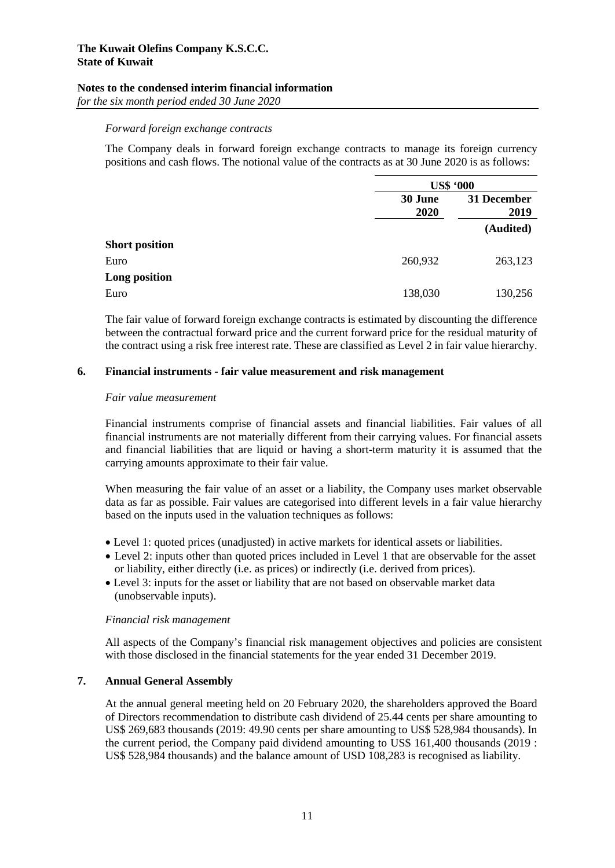### **Notes to the condensed interim financial information**

*for the six month period ended 30 June 2020*

### *Forward foreign exchange contracts*

The Company deals in forward foreign exchange contracts to manage its foreign currency positions and cash flows. The notional value of the contracts as at 30 June 2020 is as follows:

|                       |                 | <b>US\$ '000</b>    |  |
|-----------------------|-----------------|---------------------|--|
|                       | 30 June<br>2020 | 31 December<br>2019 |  |
|                       |                 | (Audited)           |  |
| <b>Short position</b> |                 |                     |  |
| Euro                  | 260,932         | 263,123             |  |
| Long position         |                 |                     |  |
| Euro                  | 138,030         | 130,256             |  |

The fair value of forward foreign exchange contracts is estimated by discounting the difference between the contractual forward price and the current forward price for the residual maturity of the contract using a risk free interest rate. These are classified as Level 2 in fair value hierarchy.

### **6. Financial instruments - fair value measurement and risk management**

#### *Fair value measurement*

Financial instruments comprise of financial assets and financial liabilities. Fair values of all financial instruments are not materially different from their carrying values. For financial assets and financial liabilities that are liquid or having a short-term maturity it is assumed that the carrying amounts approximate to their fair value.

When measuring the fair value of an asset or a liability, the Company uses market observable data as far as possible. Fair values are categorised into different levels in a fair value hierarchy based on the inputs used in the valuation techniques as follows:

- Level 1: quoted prices (unadjusted) in active markets for identical assets or liabilities.
- Level 2: inputs other than quoted prices included in Level 1 that are observable for the asset or liability, either directly (i.e. as prices) or indirectly (i.e. derived from prices).
- Level 3: inputs for the asset or liability that are not based on observable market data (unobservable inputs).

#### *Financial risk management*

All aspects of the Company's financial risk management objectives and policies are consistent with those disclosed in the financial statements for the year ended 31 December 2019.

#### **7. Annual General Assembly**

At the annual general meeting held on 20 February 2020, the shareholders approved the Board of Directors recommendation to distribute cash dividend of 25.44 cents per share amounting to US\$ 269,683 thousands (2019: 49.90 cents per share amounting to US\$ 528,984 thousands). In the current period, the Company paid dividend amounting to US\$ 161,400 thousands (2019 : US\$ 528,984 thousands) and the balance amount of USD 108,283 is recognised as liability.